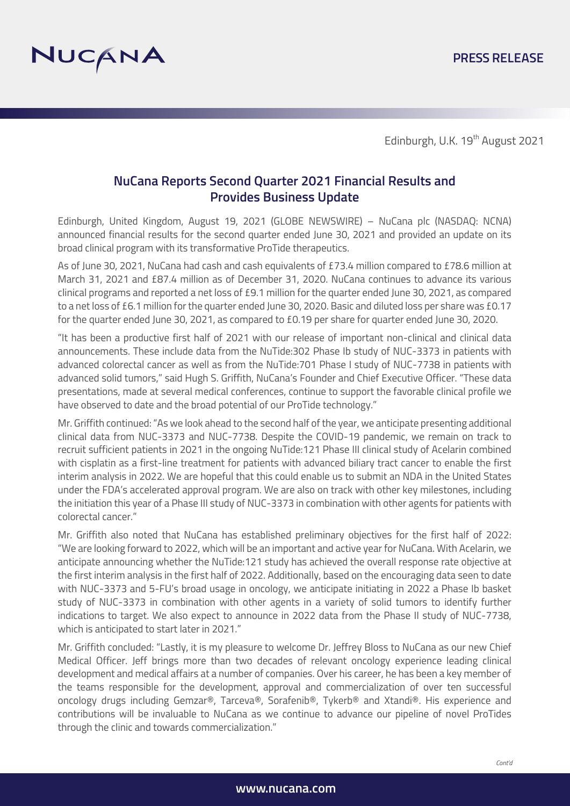

# **NuCana Reports Second Quarter 2021 Financial Results and Provides Business Update**

Edinburgh, United Kingdom, August 19, 2021 (GLOBE NEWSWIRE) – NuCana plc (NASDAQ: NCNA) announced financial results for the second quarter ended June 30, 2021 and provided an update on its broad clinical program with its transformative ProTide therapeutics.

As of June 30, 2021, NuCana had cash and cash equivalents of £73.4 million compared to £78.6 million at March 31, 2021 and £87.4 million as of December 31, 2020. NuCana continues to advance its various clinical programs and reported a net loss of £9.1 million for the quarter ended June 30, 2021, as compared to a net loss of £6.1 million for the quarter ended June 30, 2020. Basic and diluted loss per share was £0.17 for the quarter ended June 30, 2021, as compared to £0.19 per share for quarter ended June 30, 2020.

"It has been a productive first half of 2021 with our release of important non-clinical and clinical data announcements. These include data from the NuTide:302 Phase Ib study of NUC-3373 in patients with advanced colorectal cancer as well as from the NuTide:701 Phase I study of NUC-7738 in patients with advanced solid tumors," said Hugh S. Griffith, NuCana's Founder and Chief Executive Officer. "These data presentations, made at several medical conferences, continue to support the favorable clinical profile we have observed to date and the broad potential of our ProTide technology."

Mr. Griffith continued: "As we look ahead to the second half of the year, we anticipate presenting additional clinical data from NUC-3373 and NUC-7738. Despite the COVID-19 pandemic, we remain on track to recruit sufficient patients in 2021 in the ongoing NuTide:121 Phase III clinical study of Acelarin combined with cisplatin as a first-line treatment for patients with advanced biliary tract cancer to enable the first interim analysis in 2022. We are hopeful that this could enable us to submit an NDA in the United States under the FDA's accelerated approval program. We are also on track with other key milestones, including the initiation this year of a Phase III study of NUC-3373 in combination with other agents for patients with colorectal cancer."

Mr. Griffith also noted that NuCana has established preliminary objectives for the first half of 2022: "We are looking forward to 2022, which will be an important and active year for NuCana. With Acelarin, we anticipate announcing whether the NuTide:121 study has achieved the overall response rate objective at the first interim analysis in the first half of 2022. Additionally, based on the encouraging data seen to date with NUC-3373 and 5-FU's broad usage in oncology, we anticipate initiating in 2022 a Phase Ib basket study of NUC-3373 in combination with other agents in a variety of solid tumors to identify further indications to target. We also expect to announce in 2022 data from the Phase II study of NUC-7738, which is anticipated to start later in 2021."

Mr. Griffith concluded: "Lastly, it is my pleasure to welcome Dr. Jeffrey Bloss to NuCana as our new Chief Medical Officer. Jeff brings more than two decades of relevant oncology experience leading clinical development and medical affairs at a number of companies. Over his career, he has been a key member of the teams responsible for the development, approval and commercialization of over ten successful oncology drugs including Gemzar®, Tarceva®, Sorafenib®, Tykerb® and Xtandi®. His experience and contributions will be invaluable to NuCana as we continue to advance our pipeline of novel ProTides through the clinic and towards commercialization."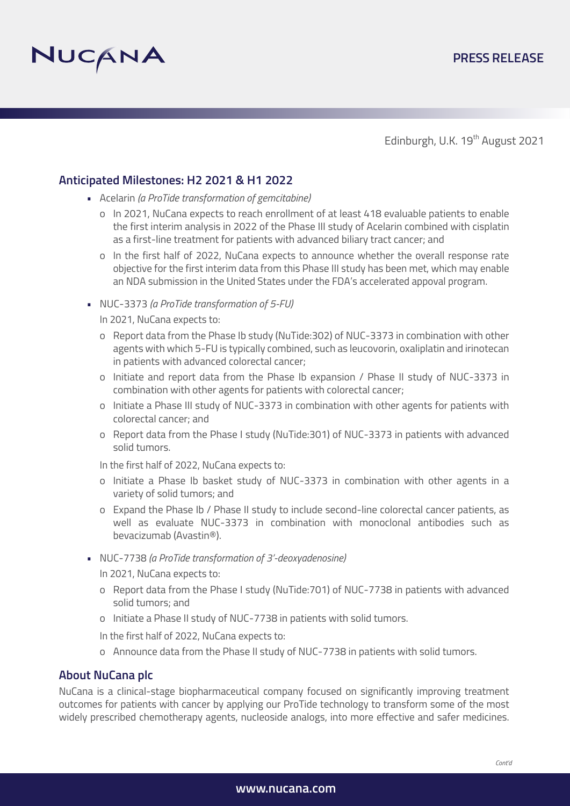

### **Anticipated Milestones: H2 2021 & H1 2022**

- Acelarin *(a ProTide transformation of gemcitabine)*
	- o In 2021, NuCana expects to reach enrollment of at least 418 evaluable patients to enable the first interim analysis in 2022 of the Phase III study of Acelarin combined with cisplatin as a first-line treatment for patients with advanced biliary tract cancer; and
	- o In the first half of 2022, NuCana expects to announce whether the overall response rate objective for the first interim data from this Phase III study has been met, which may enable an NDA submission in the United States under the FDA's accelerated appoval program.
- NUC-3373 *(a ProTide transformation of 5-FU)*
	- In 2021, NuCana expects to:
	- o Report data from the Phase Ib study (NuTide:302) of NUC-3373 in combination with other agents with which 5-FU is typically combined, such as leucovorin, oxaliplatin and irinotecan in patients with advanced colorectal cancer;
	- o Initiate and report data from the Phase Ib expansion / Phase II study of NUC-3373 in combination with other agents for patients with colorectal cancer;
	- o Initiate a Phase III study of NUC-3373 in combination with other agents for patients with colorectal cancer; and
	- o Report data from the Phase I study (NuTide:301) of NUC-3373 in patients with advanced solid tumors.
	- In the first half of 2022, NuCana expects to:
	- o Initiate a Phase Ib basket study of NUC-3373 in combination with other agents in a variety of solid tumors; and
	- o Expand the Phase Ib / Phase II study to include second-line colorectal cancer patients, as well as evaluate NUC-3373 in combination with monoclonal antibodies such as bevacizumab (Avastin®).
- NUC-7738 *(a ProTide transformation of 3'-deoxyadenosine)* 
	- In 2021, NuCana expects to:
	- o Report data from the Phase I study (NuTide:701) of NUC-7738 in patients with advanced solid tumors; and
	- o Initiate a Phase II study of NUC-7738 in patients with solid tumors.
	- In the first half of 2022, NuCana expects to:
	- o Announce data from the Phase II study of NUC-7738 in patients with solid tumors.

### **About NuCana plc**

NuCana is a clinical-stage biopharmaceutical company focused on significantly improving treatment outcomes for patients with cancer by applying our ProTide technology to transform some of the most widely prescribed chemotherapy agents, nucleoside analogs, into more effective and safer medicines.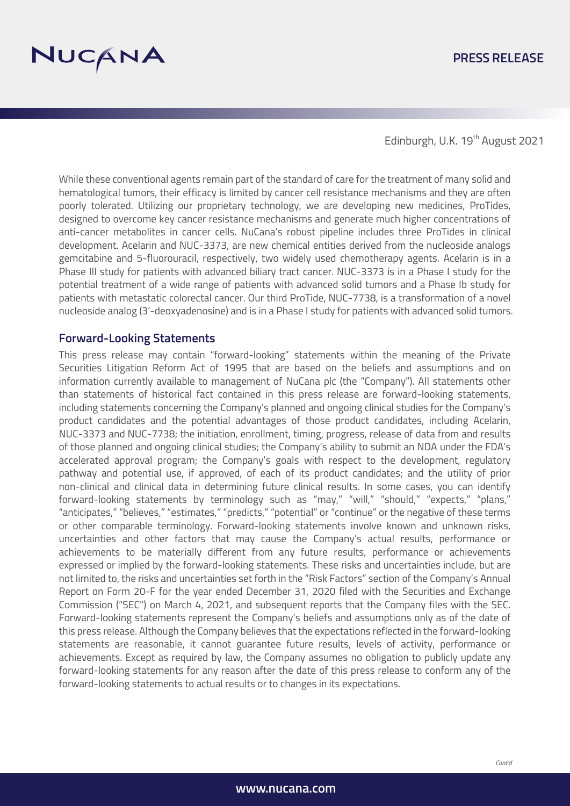

### **PRESS RELEASE**

Edinburgh, U.K. 19<sup>th</sup> August 2021

While these conventional agents remain part of the standard of care for the treatment of many solid and hematological tumors, their efficacy is limited by cancer cell resistance mechanisms and they are often poorly tolerated. Utilizing our proprietary technology, we are developing new medicines, ProTides, designed to overcome key cancer resistance mechanisms and generate much higher concentrations of anti-cancer metabolites in cancer cells. NuCana's robust pipeline includes three ProTides in clinical development. Acelarin and NUC-3373, are new chemical entities derived from the nucleoside analogs gemcitabine and 5-fluorouracil, respectively, two widely used chemotherapy agents. Acelarin is in a Phase III study for patients with advanced biliary tract cancer. NUC-3373 is in a Phase I study for the potential treatment of a wide range of patients with advanced solid tumors and a Phase Ib study for patients with metastatic colorectal cancer. Our third ProTide, NUC-7738, is a transformation of a novel nucleoside analog (3'-deoxyadenosine) and is in a Phase I study for patients with advanced solid tumors.

#### **Forward-Looking Statements**

This press release may contain "forward-looking" statements within the meaning of the Private Securities Litigation Reform Act of 1995 that are based on the beliefs and assumptions and on information currently available to management of NuCana plc (the "Company"). All statements other than statements of historical fact contained in this press release are forward-looking statements, including statements concerning the Company's planned and ongoing clinical studies for the Company's product candidates and the potential advantages of those product candidates, including Acelarin, NUC-3373 and NUC-7738; the initiation, enrollment, timing, progress, release of data from and results of those planned and ongoing clinical studies; the Company's ability to submit an NDA under the FDA's accelerated approval program; the Company's goals with respect to the development, regulatory pathway and potential use, if approved, of each of its product candidates; and the utility of prior non-clinical and clinical data in determining future clinical results. In some cases, you can identify forward-looking statements by terminology such as "may," "will," "should," "expects," "plans," "anticipates," "believes," "estimates," "predicts," "potential" or "continue" or the negative of these terms or other comparable terminology. Forward-looking statements involve known and unknown risks, uncertainties and other factors that may cause the Company's actual results, performance or achievements to be materially different from any future results, performance or achievements expressed or implied by the forward-looking statements. These risks and uncertainties include, but are not limited to, the risks and uncertainties set forth in the "Risk Factors" section of the Company's Annual Report on Form 20-F for the year ended December 31, 2020 filed with the Securities and Exchange Commission ("SEC") on March 4, 2021, and subsequent reports that the Company files with the SEC. Forward-looking statements represent the Company's beliefs and assumptions only as of the date of this press release. Although the Company believes that the expectations reflected in the forward-looking statements are reasonable, it cannot guarantee future results, levels of activity, performance or achievements. Except as required by law, the Company assumes no obligation to publicly update any forward-looking statements for any reason after the date of this press release to conform any of the forward-looking statements to actual results or to changes in its expectations.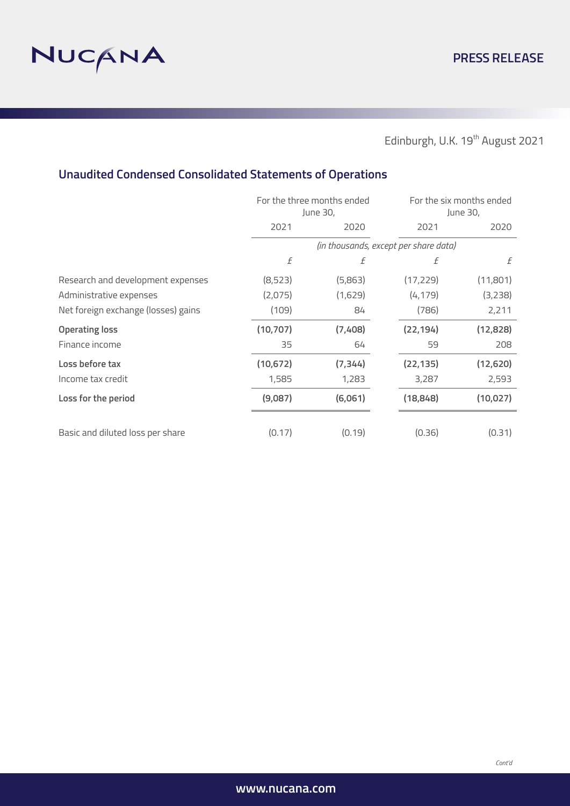

# **Unaudited Condensed Consolidated Statements of Operations**

|                                     | For the three months ended<br>June 30, |          |           | For the six months ended<br>June 30, |  |
|-------------------------------------|----------------------------------------|----------|-----------|--------------------------------------|--|
|                                     | 2021                                   | 2020     | 2021      | 2020                                 |  |
|                                     | (in thousands, except per share data)  |          |           |                                      |  |
|                                     | f                                      | f        | f         | f                                    |  |
| Research and development expenses   | (8,523)                                | (5,863)  | (17, 229) | (11,801)                             |  |
| Administrative expenses             | (2,075)                                | (1,629)  | (4, 179)  | (3,238)                              |  |
| Net foreign exchange (losses) gains | (109)                                  | 84       | (786)     | 2,211                                |  |
| <b>Operating loss</b>               | (10, 707)                              | (7,408)  | (22, 194) | (12, 828)                            |  |
| Finance income                      | 35                                     | 64       | 59        | 208                                  |  |
| Loss before tax                     | (10, 672)                              | (7, 344) | (22, 135) | (12,620)                             |  |
| Income tax credit                   | 1,585                                  | 1,283    | 3,287     | 2,593                                |  |
| Loss for the period                 | (9,087)                                | (6,061)  | (18, 848) | (10, 027)                            |  |
| Basic and diluted loss per share    | (0.17)                                 | (0.19)   | (0.36)    | (0.31)                               |  |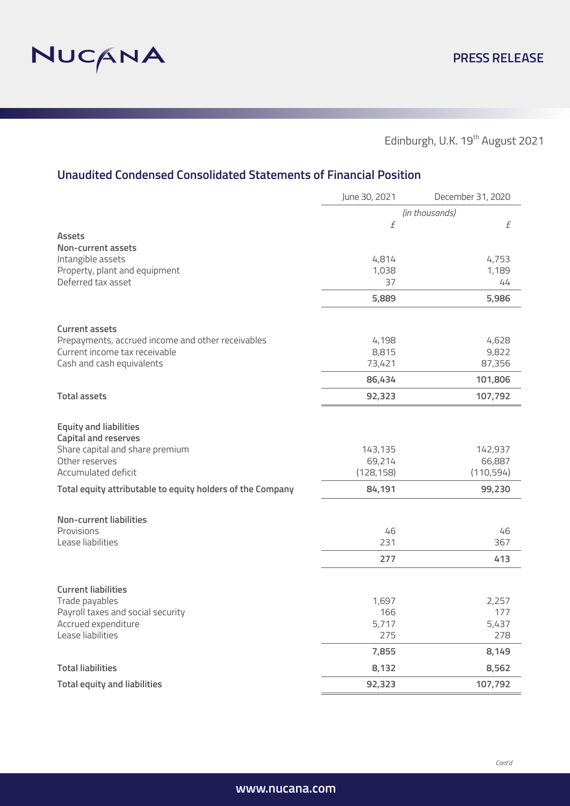

# **Unaudited Condensed Consolidated Statements of Financial Position**

|                                                            | June 30, 2021        | December 31, 2020    |
|------------------------------------------------------------|----------------------|----------------------|
|                                                            |                      | (in thousands)       |
|                                                            | f                    | $\it{f}$             |
| <b>Assets</b>                                              |                      |                      |
| Non-current assets                                         |                      |                      |
| Intangible assets<br>Property, plant and equipment         | 4,814<br>1,038       | 4,753<br>1,189       |
| Deferred tax asset                                         | 37                   | 44                   |
|                                                            | 5,889                | 5,986                |
|                                                            |                      |                      |
| <b>Current assets</b>                                      |                      |                      |
| Prepayments, accrued income and other receivables          | 4,198                | 4,628                |
| Current income tax receivable                              | 8,815                | 9,822                |
| Cash and cash equivalents                                  | 73,421               | 87,356               |
|                                                            | 86,434               | 101,806              |
| <b>Total assets</b>                                        | 92,323               | 107,792              |
|                                                            |                      |                      |
| <b>Equity and liabilities</b>                              |                      |                      |
| <b>Capital and reserves</b>                                |                      |                      |
| Share capital and share premium                            | 143,135              | 142,937              |
| Other reserves<br>Accumulated deficit                      | 69,214<br>(128, 158) | 66,887<br>(110, 594) |
|                                                            |                      |                      |
| Total equity attributable to equity holders of the Company | 84,191               | 99,230               |
| <b>Non-current liabilities</b>                             |                      |                      |
| Provisions                                                 | 46                   | 46                   |
| Lease liabilities                                          | 231                  | 367                  |
|                                                            | 277                  | 413                  |
|                                                            |                      |                      |
| <b>Current liabilities</b>                                 |                      |                      |
| Trade payables                                             | 1,697                | 2,257                |
| Payroll taxes and social security                          | 166                  | 177                  |
| Accrued expenditure                                        | 5,717                | 5,437                |
| Lease liabilities                                          | 275                  | 278                  |
|                                                            | 7,855                | 8,149                |
| <b>Total liabilities</b>                                   | 8,132                | 8,562                |
| <b>Total equity and liabilities</b>                        | 92,323               | 107,792              |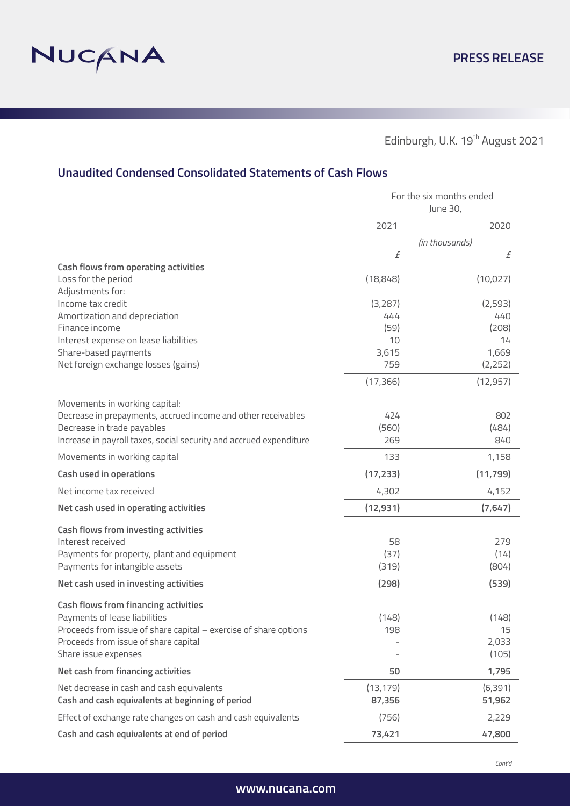

# **Unaudited Condensed Consolidated Statements of Cash Flows**

|                                                                    | For the six months ended<br>June 30, |                |  |
|--------------------------------------------------------------------|--------------------------------------|----------------|--|
|                                                                    | 2021                                 | 2020           |  |
|                                                                    |                                      | (in thousands) |  |
|                                                                    | f                                    | f              |  |
| <b>Cash flows from operating activities</b>                        |                                      |                |  |
| Loss for the period                                                | (18, 848)                            | (10, 027)      |  |
| Adjustments for:<br>Income tax credit                              | (3,287)                              | (2, 593)       |  |
| Amortization and depreciation                                      | 444                                  | 440            |  |
| Finance income                                                     | (59)                                 | (208)          |  |
| Interest expense on lease liabilities                              | 10                                   | 14             |  |
| Share-based payments                                               | 3,615                                | 1,669          |  |
| Net foreign exchange losses (gains)                                | 759                                  | (2, 252)       |  |
|                                                                    | (17, 366)                            | (12, 957)      |  |
| Movements in working capital:                                      |                                      |                |  |
| Decrease in prepayments, accrued income and other receivables      | 424                                  | 802            |  |
| Decrease in trade payables                                         | (560)                                | (484)          |  |
| Increase in payroll taxes, social security and accrued expenditure | 269                                  | 840            |  |
| Movements in working capital                                       | 133                                  | 1,158          |  |
| <b>Cash used in operations</b>                                     | (17, 233)                            | (11, 799)      |  |
| Net income tax received                                            | 4,302                                | 4,152          |  |
| Net cash used in operating activities                              | (12, 931)                            | (7,647)        |  |
| <b>Cash flows from investing activities</b>                        |                                      |                |  |
| Interest received                                                  | 58                                   | 279            |  |
| Payments for property, plant and equipment                         | (37)                                 | (14)           |  |
| Payments for intangible assets                                     | (319)                                | (804)          |  |
| Net cash used in investing activities                              | (298)                                | (539)          |  |
| Cash flows from financing activities                               |                                      |                |  |
| Payments of lease liabilities                                      | (148)                                | (148)          |  |
| Proceeds from issue of share capital - exercise of share options   | 198                                  | 15             |  |
| Proceeds from issue of share capital                               |                                      | 2,033          |  |
| Share issue expenses                                               |                                      | (105)          |  |
| Net cash from financing activities                                 | 50                                   | 1,795          |  |
| Net decrease in cash and cash equivalents                          | (13, 179)                            | (6, 391)       |  |
| Cash and cash equivalents at beginning of period                   | 87,356                               | 51,962         |  |
| Effect of exchange rate changes on cash and cash equivalents       | (756)                                | 2,229          |  |
| Cash and cash equivalents at end of period                         | 73,421                               | 47,800         |  |